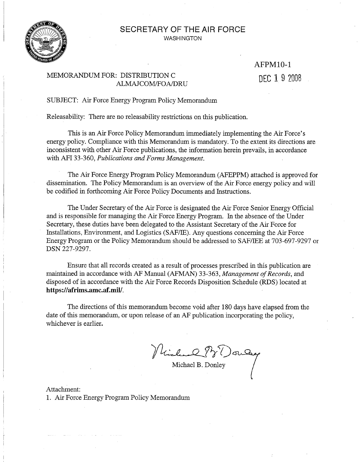#### SECRETARY OF THE AIR FORCE **WASHINGTON**



# AFPM10-1DEC 19 2008

#### MEMORANDUM FOR: DISTRIBUTION C ALMAJCOM/FOA/DRU

SUBJECT: Air Force Energy Program Policy Memorandum

Releasability: There are no releasability restrictions on this publication.

This is an Air Force Policy Memorandum immediately implementing the Air Force's energy policy. Compliance with this Memorandum is mandatory. To the extent its directions are inconsistent with other Air Force publications, the information herein prevails, in accordance with AFI 33-360, Publications and Forms Management.

The Air Force Energy Program Policy Memorandum (AFEPPM) attached is approved for dissemination. The Policy Memorandum is an overview of the Air Force energy policy and will be codified in forthcoming Air Force Policy Documents and Instructions.

The Under Secretary of the Air Force is designated the Air Force Senior Energy Official and is responsible for managing the Air Force Energy Program. In the absence of the Under Secretary, these duties have been delegated to the Assistant Secretary of the Air Force for Installations, Environment, and Logistics (SAF/IE). Any questions concerning the Air Force Energy Program or the Policy Memorandum should be addressed to SAF/IEE at 703-697-9297 or DSN 227-9297.

Ensure that all records created as a result of processes prescribed in this publication are maintained in accordance with AF Manual (AFMAN) 33-363, Management of Records, and disposed of in accordance with the Air Force Records Disposition Schedule (RDS) located at https://afrims.amc.af.mil/.

The directions of this memorandum become void after 180 days have elapsed from the date of this memorandum, or upon release of an AF publication incorporating the policy, whichever is earlier.

Michael B. Donley

Attachment: 1. Air Force Energy Program Policy Memorandum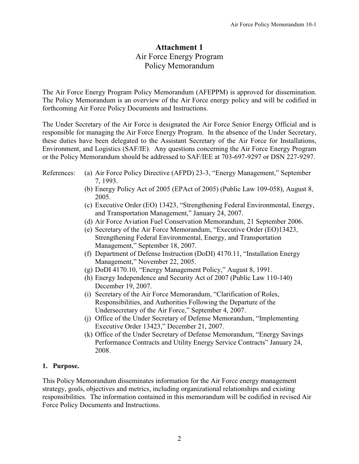# **Attachment 1**  Air Force Energy Program Policy Memorandum

The Air Force Energy Program Policy Memorandum (AFEPPM) is approved for dissemination. The Policy Memorandum is an overview of the Air Force energy policy and will be codified in forthcoming Air Force Policy Documents and Instructions.

The Under Secretary of the Air Force is designated the Air Force Senior Energy Official and is responsible for managing the Air Force Energy Program. In the absence of the Under Secretary, these duties have been delegated to the Assistant Secretary of the Air Force for Installations, Environment, and Logistics (SAF/IE). Any questions concerning the Air Force Energy Program or the Policy Memorandum should be addressed to SAF/IEE at 703-697-9297 or DSN 227-9297.

- References: (a) Air Force Policy Directive (AFPD) 23-3, "Energy Management," September 7, 1993.
	- (b) Energy Policy Act of 2005 (EPAct of 2005) (Public Law 109-058), August 8, 2005.
	- (c) Executive Order (EO) 13423, "Strengthening Federal Environmental, Energy, and Transportation Management," January 24, 2007.
	- (d) Air Force Aviation Fuel Conservation Memorandum, 21 September 2006.
	- (e) Secretary of the Air Force Memorandum, "Executive Order (EO)13423, Strengthening Federal Environmental, Energy, and Transportation Management," September 18, 2007.
	- (f) Department of Defense Instruction (DoDI)  $4170.11$ , "Installation Energy Management," November 22, 2005.
	- (g) DoDI 4170.10, "Energy Management Policy," August 8, 1991.
	- (h) Energy Independence and Security Act of 2007 (Public Law 110-140) December 19, 2007.
	- (i) Secretary of the Air Force Memorandum, "Clarification of Roles, Responsibilities, and Authorities Following the Departure of the Undersecretary of the Air Force," September 4, 2007.
	- (j) Office of the Under Secretary of Defense Memorandum, "Implementing Executive Order 13423," December 21, 2007.
	- (k) Office of the Under Secretary of Defense Memorandum, "Energy Savings" Performance Contracts and Utility Energy Service Contracts" January 24, 2008.

#### **1. Purpose.**

This Policy Memorandum disseminates information for the Air Force energy management strategy, goals, objectives and metrics, including organizational relationships and existing responsibilities. The information contained in this memorandum will be codified in revised Air Force Policy Documents and Instructions.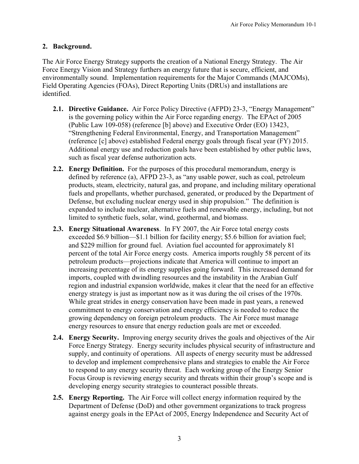# **2. Background.**

The Air Force Energy Strategy supports the creation of a National Energy Strategy. The Air Force Energy Vision and Strategy furthers an energy future that is secure, efficient, and environmentally sound. Implementation requirements for the Major Commands (MAJCOMs), Field Operating Agencies (FOAs), Direct Reporting Units (DRUs) and installations are identified.

- **2.1. Directive Guidance.** Air Force Policy Directive (AFPD) 23-3, "Energy Management" is the governing policy within the Air Force regarding energy. The EPAct of 2005 (Public Law 109-058) (reference [b] above) and Executive Order (EO) 13423, "Strengthening Federal Environmental, Energy, and Transportation Management" (reference [c] above) established Federal energy goals through fiscal year (FY) 2015. Additional energy use and reduction goals have been established by other public laws, such as fiscal year defense authorization acts.
- **2.2. Energy Definition.** For the purposes of this procedural memorandum, energy is defined by reference (a), AFPD 23-3, as "any usable power, such as coal, petroleum products, steam, electricity, natural gas, and propane, and including military operational fuels and propellants, whether purchased, generated, or produced by the Department of Defense, but excluding nuclear energy used in ship propulsion." The definition is expanded to include nuclear, alternative fuels and renewable energy, including, but not limited to synthetic fuels, solar, wind, geothermal, and biomass.
- **2.3. Energy Situational Awareness**. In FY 2007, the Air Force total energy costs exceeded \$6.9 billion—\$1.1 billion for facility energy; \$5.6 billion for aviation fuel; and \$229 million for ground fuel. Aviation fuel accounted for approximately 81 percent of the total Air Force energy costs. America imports roughly 58 percent of its petroleum products—projections indicate that America will continue to import an increasing percentage of its energy supplies going forward. This increased demand for imports, coupled with dwindling resources and the instability in the Arabian Gulf region and industrial expansion worldwide, makes it clear that the need for an effective energy strategy is just as important now as it was during the oil crises of the 1970s. While great strides in energy conservation have been made in past years, a renewed commitment to energy conservation and energy efficiency is needed to reduce the growing dependency on foreign petroleum products. The Air Force must manage energy resources to ensure that energy reduction goals are met or exceeded.
- **2.4. Energy Security.** Improving energy security drives the goals and objectives of the Air Force Energy Strategy. Energy security includes physical security of infrastructure and supply, and continuity of operations. All aspects of energy security must be addressed to develop and implement comprehensive plans and strategies to enable the Air Force to respond to any energy security threat. Each working group of the Energy Senior Focus Group is reviewing energy security and threats within their group's scope and is developing energy security strategies to counteract possible threats.
- **2.5. Energy Reporting.** The Air Force will collect energy information required by the Department of Defense (DoD) and other government organizations to track progress against energy goals in the EPAct of 2005, Energy Independence and Security Act of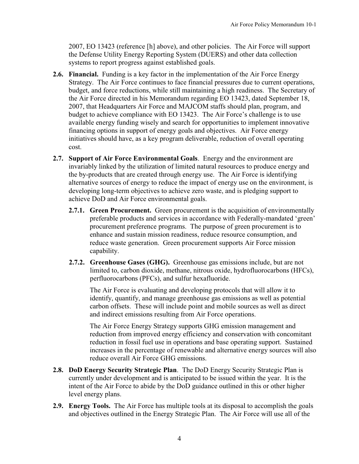2007, EO 13423 (reference [h] above), and other policies. The Air Force will support the Defense Utility Energy Reporting System (DUERS) and other data collection systems to report progress against established goals.

- **2.6. Financial.** Funding is a key factor in the implementation of the Air Force Energy Strategy. The Air Force continues to face financial pressures due to current operations, budget, and force reductions, while still maintaining a high readiness. The Secretary of the Air Force directed in his Memorandum regarding EO 13423, dated September 18, 2007, that Headquarters Air Force and MAJCOM staffs should plan, program, and budget to achieve compliance with EO 13423. The Air Force's challenge is to use available energy funding wisely and search for opportunities to implement innovative financing options in support of energy goals and objectives. Air Force energy initiatives should have, as a key program deliverable, reduction of overall operating cost.
- **2.7. Support of Air Force Environmental Goals**. Energy and the environment are invariably linked by the utilization of limited natural resources to produce energy and the by-products that are created through energy use. The Air Force is identifying alternative sources of energy to reduce the impact of energy use on the environment, is developing long-term objectives to achieve zero waste, and is pledging support to achieve DoD and Air Force environmental goals.
	- **2.7.1. Green Procurement.** Green procurement is the acquisition of environmentally preferable products and services in accordance with Federally-mandated 'green' procurement preference programs. The purpose of green procurement is to enhance and sustain mission readiness, reduce resource consumption, and reduce waste generation. Green procurement supports Air Force mission capability.
	- **2.7.2. Greenhouse Gases (GHG).** Greenhouse gas emissions include, but are not limited to, carbon dioxide, methane, nitrous oxide, hydrofluorocarbons (HFCs), perfluorocarbons (PFCs), and sulfur hexafluoride.

The Air Force is evaluating and developing protocols that will allow it to identify, quantify, and manage greenhouse gas emissions as well as potential carbon offsets. These will include point and mobile sources as well as direct and indirect emissions resulting from Air Force operations.

The Air Force Energy Strategy supports GHG emission management and reduction from improved energy efficiency and conservation with concomitant reduction in fossil fuel use in operations and base operating support. Sustained increases in the percentage of renewable and alternative energy sources will also reduce overall Air Force GHG emissions.

- **2.8. DoD Energy Security Strategic Plan**. The DoD Energy Security Strategic Plan is currently under development and is anticipated to be issued within the year. It is the intent of the Air Force to abide by the DoD guidance outlined in this or other higher level energy plans.
- **2.9. Energy Tools.** The Air Force has multiple tools at its disposal to accomplish the goals and objectives outlined in the Energy Strategic Plan. The Air Force will use all of the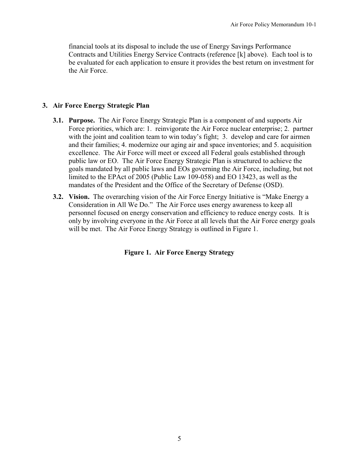financial tools at its disposal to include the use of Energy Savings Performance Contracts and Utilities Energy Service Contracts (reference [k] above). Each tool is to be evaluated for each application to ensure it provides the best return on investment for the Air Force.

#### **3. Air Force Energy Strategic Plan**

- **3.1. Purpose.** The Air Force Energy Strategic Plan is a component of and supports Air Force priorities, which are: 1. reinvigorate the Air Force nuclear enterprise; 2. partner with the joint and coalition team to win today's fight; 3. develop and care for airmen and their families; 4. modernize our aging air and space inventories; and 5. acquisition excellence. The Air Force will meet or exceed all Federal goals established through public law or EO. The Air Force Energy Strategic Plan is structured to achieve the goals mandated by all public laws and EOs governing the Air Force, including, but not limited to the EPAct of 2005 (Public Law 109-058) and EO 13423, as well as the mandates of the President and the Office of the Secretary of Defense (OSD).
- **3.2. Vision.** The overarching vision of the Air Force Energy Initiative is "Make Energy a Consideration in All We Do." The Air Force uses energy awareness to keep all personnel focused on energy conservation and efficiency to reduce energy costs. It is only by involving everyone in the Air Force at all levels that the Air Force energy goals will be met. The Air Force Energy Strategy is outlined in Figure 1.

**Figure 1. Air Force Energy Strategy**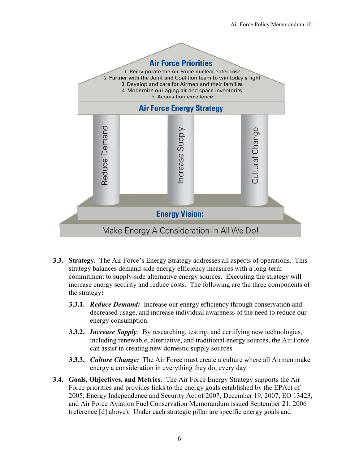

- **3.3.** Strategy. The Air Force's Energy Strategy addresses all aspects of operations. This strategy balances demand-side energy efficiency measures with a long-term commitment to supply-side alternative energy sources. Executing the strategy will increase energy security and reduce costs. The following are the three components of the strategy**:** 
	- **3.3.1.** *Reduce Demand:* Increase our energy efficiency through conservation and decreased usage, and increase individual awareness of the need to reduce our energy consumption.
	- **3.3.2.** *Increase Supply:* By researching, testing, and certifying new technologies, including renewable, alternative, and traditional energy sources, the Air Force can assist in creating new domestic supply sources.
	- **3.3.3.** *Culture Change:* The Air Force must create a culture where all Airmen make energy a consideration in everything they do, every day.
- **3.4. Goals, Objectives, and Metrics**. The Air Force Energy Strategy supports the Air Force priorities and provides links to the energy goals established by the EPAct of 2005, Energy Independence and Security Act of 2007, December 19, 2007, EO 13423, and Air Force Aviation Fuel Conservation Memorandum issued September 21, 2006 (reference [d] above). Under each strategic pillar are specific energy goals and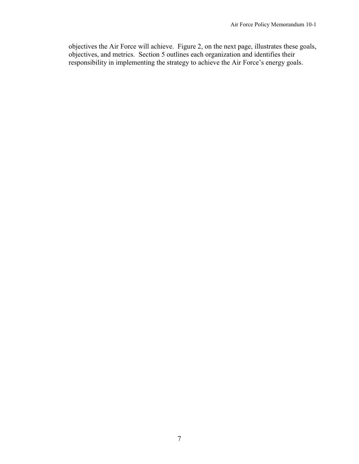objectives the Air Force will achieve. Figure 2, on the next page, illustrates these goals, objectives, and metrics. Section 5 outlines each organization and identifies their responsibility in implementing the strategy to achieve the Air Force's energy goals.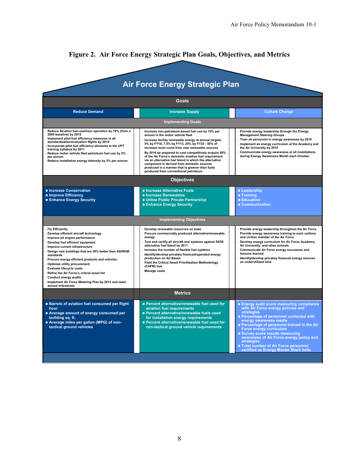| <b>Air Force Energy Strategic Plan</b><br>Goals                                                                                                                                                                                                                                                                                                                                                                                                                                                                    |                                                                                                                                                                                                                                                                                                                                                                                                                                                                                                                                                                           |                                                                                                                                                                                                                                                                                                                                                                                                                                            |
|--------------------------------------------------------------------------------------------------------------------------------------------------------------------------------------------------------------------------------------------------------------------------------------------------------------------------------------------------------------------------------------------------------------------------------------------------------------------------------------------------------------------|---------------------------------------------------------------------------------------------------------------------------------------------------------------------------------------------------------------------------------------------------------------------------------------------------------------------------------------------------------------------------------------------------------------------------------------------------------------------------------------------------------------------------------------------------------------------------|--------------------------------------------------------------------------------------------------------------------------------------------------------------------------------------------------------------------------------------------------------------------------------------------------------------------------------------------------------------------------------------------------------------------------------------------|
|                                                                                                                                                                                                                                                                                                                                                                                                                                                                                                                    |                                                                                                                                                                                                                                                                                                                                                                                                                                                                                                                                                                           |                                                                                                                                                                                                                                                                                                                                                                                                                                            |
|                                                                                                                                                                                                                                                                                                                                                                                                                                                                                                                    | <b>Implementing Goals</b>                                                                                                                                                                                                                                                                                                                                                                                                                                                                                                                                                 |                                                                                                                                                                                                                                                                                                                                                                                                                                            |
| Reduce Aviation fuel-use/hour operation by 10% (from a<br>2005 baseline) by 2015<br>Implement pilot fuel efficiency measures in all<br>standardization/evaluation flights by 2010<br>Incorporate pilot fuel efficiency elements in the UPT<br>training syllabus by 2011<br>Reduce motor vehicle fleet petroleum fuel use by 2%<br>per annum<br>Reduce installation energy intensity by 3% per annum                                                                                                                | · Increase non-petroleum-based fuel use by 10% per<br>annum in the motor vehicle fleet<br>· Increase facility renewable energy at annual targets,<br>5% by FY10, 7.5% by FY13, 25% by FY25 - 50% of<br>increase must come from new renewable sources<br>By 2016 be prepared to cost competitively acquire 50%<br>of the Air Force's domestic aviation fuel requirement<br>via an alternative fuel blend in which the alternative<br>component is derived from domestic sources<br>produced in a manner that is greener than fuels<br>produced from conventional petroleum | · Provide energy leadership through the Energy<br><b>Management Steering Groups</b><br>Train all personnel in energy awareness by 2010<br>Implement an energy curriculum at the Academy and<br>the Air University by 2010<br>Communicate energy awareness at all installations<br>during Energy Awareness Month each October                                                                                                               |
|                                                                                                                                                                                                                                                                                                                                                                                                                                                                                                                    | <b>Objectives</b>                                                                                                                                                                                                                                                                                                                                                                                                                                                                                                                                                         |                                                                                                                                                                                                                                                                                                                                                                                                                                            |
| Increase Conservation<br>Improve Efficiency<br><b>Enhance Energy Security</b>                                                                                                                                                                                                                                                                                                                                                                                                                                      | Increase Alternative Fuels<br><b>n</b> Increase Renewables<br>Utilize Public Private Partnership<br><b>Enhance Energy Security</b>                                                                                                                                                                                                                                                                                                                                                                                                                                        | Leadership<br>■ Training<br><b>Education</b><br>■ Communication                                                                                                                                                                                                                                                                                                                                                                            |
|                                                                                                                                                                                                                                                                                                                                                                                                                                                                                                                    | <b>Implementing Objectives</b>                                                                                                                                                                                                                                                                                                                                                                                                                                                                                                                                            |                                                                                                                                                                                                                                                                                                                                                                                                                                            |
| · Fly Efficiently<br>Develop efficient aircraft technology<br>· Improve jet engine performance<br>Develop fuel efficient equipment<br>Improve current infrastructure<br>Design new buildings that are 30% better than ASHRAE<br>standards<br>Procure energy efficient products and vehicles<br>Optimize utility procurement<br>· Evaluate lifecycle costs<br>Refine the Air Force's critical asset list<br><b>Conduct energy audits</b><br>Implement Air Force Metering Plan by 2012 and meet<br>annual milestones | · Develop renewable resources on base<br>· Procure commercially produced alternative/renewable<br>energy<br>· Test and certify all aircraft and systems against 50/50<br>alternative fuel blend by 2011<br>Increase the number of flexible fuel systems<br>· Identify/develop privately financed/operated energy<br>production on Air Bases<br>- Field the Critical Asset Prioritization Methodology<br>(CAPM) tool<br>· Manage costs                                                                                                                                     | . Provide energy leadership throughout the Air Force<br>. Provide energy awareness training to each uniform<br>and civilian member of the Air Force<br>Develop energy curriculum for Air Force Academy,<br>Air University, and other schools<br>Communicate Air Force energy successes and<br>lessons learned<br>· Identify/develop privately financed energy sources<br>on underutilized land                                             |
|                                                                                                                                                                                                                                                                                                                                                                                                                                                                                                                    | <b>Metrics</b>                                                                                                                                                                                                                                                                                                                                                                                                                                                                                                                                                            |                                                                                                                                                                                                                                                                                                                                                                                                                                            |
| <b>Barrels of aviation fuel consumed per flight</b><br>hour<br>Average amount of energy consumed per<br>building sq. ft.<br>Average miles per gallon (MPG) of non-<br>tactical ground vehicles                                                                                                                                                                                                                                                                                                                     | ■ Percent alternative/renewable fuel used for<br>aviation fuel requirements<br>Percent alternative/renewable fuels used<br>for installation energy requirements<br>Percent alternative/renewable fuel used for<br>non-tactical ground vehicle requirements                                                                                                                                                                                                                                                                                                                | <b>Energy audit score measuring compliance</b><br>with Air Force energy policies and<br><b>strategies</b><br>Percentage of personnel contacted with<br>energy awareness media<br>Percentage of personnel trained in the Air<br>Force energy curriculum<br><b>Survey score results measuring</b><br>awareness of Air Force energy policy and<br>strategies<br>Total number of Air Force personnel<br>certified as Energy Master Black belts |

# **Figure 2. Air Force Energy Strategic Plan Goals, Objectives, and Metrics**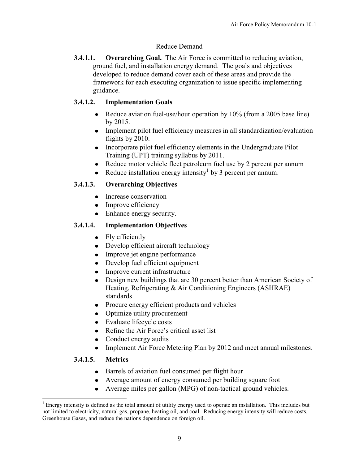# Reduce Demand

**3.4.1.1. Overarching Goal.** The Air Force is committed to reducing aviation, ground fuel, and installation energy demand. The goals and objectives developed to reduce demand cover each of these areas and provide the framework for each executing organization to issue specific implementing guidance.

# **3.4.1.2. Implementation Goals**

- Reduce aviation fuel-use/hour operation by 10% (from a 2005 base line) by 2015.
- Implement pilot fuel efficiency measures in all standardization/evaluation flights by 2010.
- Incorporate pilot fuel efficiency elements in the Undergraduate Pilot Training (UPT) training syllabus by 2011.
- Reduce motor vehicle fleet petroleum fuel use by 2 percent per annum
- Reduce installation energy intensity by 3 percent per annum.

# **3.4.1.3. Overarching Objectives**

- Increase conservation
- Improve efficiency
- Enhance energy security.

# **3.4.1.4. Implementation Objectives**

- Fly efficiently
- Develop efficient aircraft technology
- Improve jet engine performance
- $\bullet$ Develop fuel efficient equipment
- Improve current infrastructure  $\bullet$
- Design new buildings that are 30 percent better than American Society of  $\bullet$ Heating, Refrigerating & Air Conditioning Engineers (ASHRAE) standards
- Procure energy efficient products and vehicles
- Optimize utility procurement  $\bullet$
- Evaluate lifecycle costs
- Refine the Air Force's critical asset list  $\bullet$
- Conduct energy audits
- Implement Air Force Metering Plan by 2012 and meet annual milestones.  $\bullet$

#### **3.4.1.5. Metrics**

 $\overline{a}$ 

- Barrels of aviation fuel consumed per flight hour
- Average amount of energy consumed per building square foot
- Average miles per gallon (MPG) of non-tactical ground vehicles.

 $1$  Energy intensity is defined as the total amount of utility energy used to operate an installation. This includes but not limited to electricity, natural gas, propane, heating oil, and coal. Reducing energy intensity will reduce costs, Greenhouse Gases, and reduce the nations dependence on foreign oil.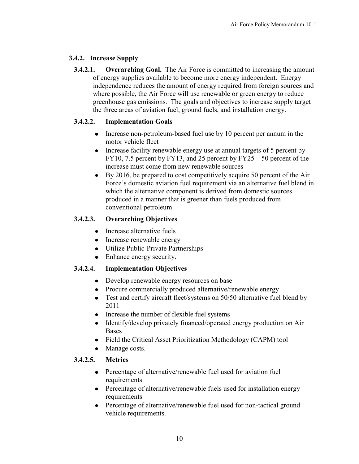# **3.4.2. Increase Supply**

**3.4.2.1.** Overarching Goal. The Air Force is committed to increasing the amount of energy supplies available to become more energy independent. Energy independence reduces the amount of energy required from foreign sources and where possible, the Air Force will use renewable or green energy to reduce greenhouse gas emissions. The goals and objectives to increase supply target the three areas of aviation fuel, ground fuels, and installation energy.

# **3.4.2.2. Implementation Goals**

- Increase non-petroleum-based fuel use by 10 percent per annum in the motor vehicle fleet
- Increase facility renewable energy use at annual targets of 5 percent by FY10, 7.5 percent by FY13, and 25 percent by FY25  $-$  50 percent of the increase must come from new renewable sources
- By 2016, be prepared to cost competitively acquire 50 percent of the Air Force's domestic aviation fuel requirement via an alternative fuel blend in which the alternative component is derived from domestic sources produced in a manner that is greener than fuels produced from conventional petroleum

# **3.4.2.3. Overarching Objectives**

- Increase alternative fuels
- Increase renewable energy
- Utilize Public-Private Partnerships
- Enhance energy security.

# **3.4.2.4. Implementation Objectives**

- Develop renewable energy resources on base
- Procure commercially produced alternative/renewable energy
- Test and certify aircraft fleet/systems on 50/50 alternative fuel blend by 2011
- Increase the number of flexible fuel systems
- Identify/develop privately financed/operated energy production on Air  $\bullet$ Bases
- Field the Critical Asset Prioritization Methodology (CAPM) tool
- Manage costs.

# **3.4.2.5. Metrics**

- Percentage of alternative/renewable fuel used for aviation fuel requirements
- Percentage of alternative/renewable fuels used for installation energy requirements
- Percentage of alternative/renewable fuel used for non-tactical ground vehicle requirements.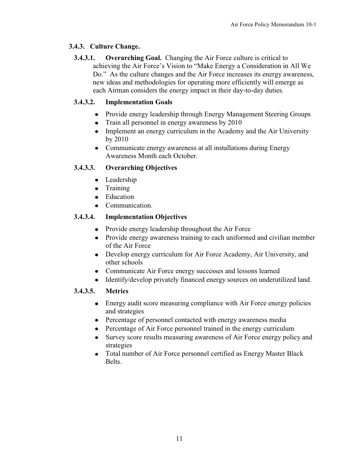# **3.4.3. Culture Change.**

**3.4.3.1. Overarching Goal.** Changing the Air Force culture is critical to achieving the Air Force's Vision to "Make Energy a Consideration in All We Do." As the culture changes and the Air Force increases its energy awareness, new ideas and methodologies for operating more efficiently will emerge as each Airman considers the energy impact in their day-to-day duties.

# **3.4.3.2. Implementation Goals**

- Provide energy leadership through Energy Management Steering Groups
- Train all personnel in energy awareness by 2010
- Implement an energy curriculum in the Academy and the Air University by 2010
- Communicate energy awareness at all installations during Energy Awareness Month each October.

# **3.4.3.3. Overarching Objectives**

- Leadership
- Training
- Education
- Communication.

# **3.4.3.4. Implementation Objectives**

- Provide energy leadership throughout the Air Force
- Provide energy awareness training to each uniformed and civilian member of the Air Force
- Develop energy curriculum for Air Force Academy, Air University, and other schools
- Communicate Air Force energy successes and lessons learned
- Identify/develop privately financed energy sources on underutilized land.

# **3.4.3.5. Metrics**

- Energy audit score measuring compliance with Air Force energy policies and strategies
- Percentage of personnel contacted with energy awareness media
- Percentage of Air Force personnel trained in the energy curriculum
- Survey score results measuring awareness of Air Force energy policy and strategies
- Total number of Air Force personnel certified as Energy Master Black Belts.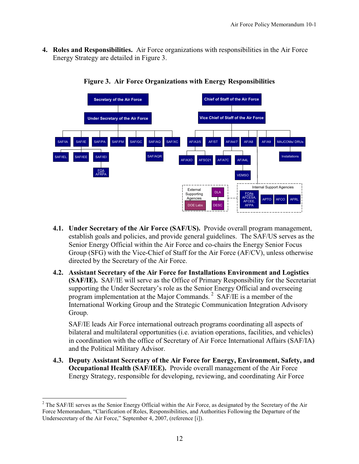**4. Roles and Responsibilities.** Air Force organizations with responsibilities in the Air Force Energy Strategy are detailed in Figure 3.



**Figure 3. Air Force Organizations with Energy Responsibilities** 

- **4.1. Under Secretary of the Air Force (SAF/US).** Provide overall program management, establish goals and policies, and provide general guidelines. The SAF/US serves as the Senior Energy Official within the Air Force and co-chairs the Energy Senior Focus Group (SFG) with the Vice-Chief of Staff for the Air Force (AF/CV), unless otherwise directed by the Secretary of the Air Force.
- **4.2. Assistant Secretary of the Air Force for Installations Environment and Logistics (SAF/IE).** SAF/IE will serve as the Office of Primary Responsibility for the Secretariat supporting the Under Secretary's role as the Senior Energy Official and overseeing program implementation at the Major Commands. 2 SAF/IE is a member of the International Working Group and the Strategic Communication Integration Advisory Group.

SAF/IE leads Air Force international outreach programs coordinating all aspects of bilateral and multilateral opportunities (i.e. aviation operations, facilities, and vehicles) in coordination with the office of Secretary of Air Force International Affairs (SAF/IA) and the Political Military Advisor.

**4.3. Deputy Assistant Secretary of the Air Force for Energy, Environment, Safety, and Occupational Health (SAF/IEE).** Provide overall management of the Air Force Energy Strategy, responsible for developing, reviewing, and coordinating Air Force

<sup>&</sup>lt;sup>2</sup> The SAF/IE serves as the Senior Energy Official within the Air Force, as designated by the Secretary of the Air Force Memorandum, "Clarification of Roles, Responsibilities, and Authorities Following the Departure of the Undersecretary of the Air Force," September 4, 2007, (reference [i]).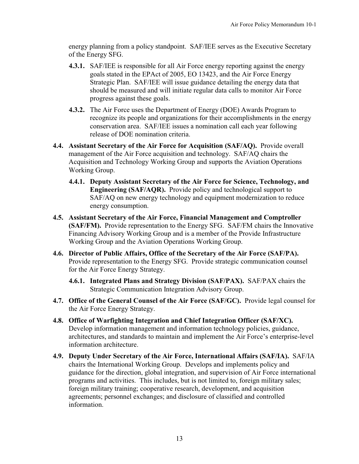energy planning from a policy standpoint. SAF/IEE serves as the Executive Secretary of the Energy SFG.

- **4.3.1.** SAF/IEE is responsible for all Air Force energy reporting against the energy goals stated in the EPAct of 2005, EO 13423, and the Air Force Energy Strategic Plan. SAF/IEE will issue guidance detailing the energy data that should be measured and will initiate regular data calls to monitor Air Force progress against these goals.
- **4.3.2.** The Air Force uses the Department of Energy (DOE) Awards Program to recognize its people and organizations for their accomplishments in the energy conservation area. SAF/IEE issues a nomination call each year following release of DOE nomination criteria.
- **4.4. Assistant Secretary of the Air Force for Acquisition (SAF/AQ).** Provide overall management of the Air Force acquisition and technology. SAF/AQ chairs the Acquisition and Technology Working Group and supports the Aviation Operations Working Group.
	- **4.4.1. Deputy Assistant Secretary of the Air Force for Science, Technology, and Engineering (SAF/AQR).** Provide policy and technological support to SAF/AQ on new energy technology and equipment modernization to reduce energy consumption.
- **4.5. Assistant Secretary of the Air Force, Financial Management and Comptroller (SAF/FM).** Provide representation to the Energy SFG. SAF/FM chairs the Innovative Financing Advisory Working Group and is a member of the Provide Infrastructure Working Group and the Aviation Operations Working Group.
- **4.6. Director of Public Affairs, Office of the Secretary of the Air Force (SAF/PA).**  Provide representation to the Energy SFG. Provide strategic communication counsel for the Air Force Energy Strategy.
	- **4.6.1. Integrated Plans and Strategy Division (SAF/PAX).** SAF/PAX chairs the Strategic Communication Integration Advisory Group.
- **4.7. Office of the General Counsel of the Air Force (SAF/GC).** Provide legal counsel for the Air Force Energy Strategy.
- **4.8. Office of Warfighting Integration and Chief Integration Officer (SAF/XC).**  Develop information management and information technology policies, guidance, architectures, and standards to maintain and implement the Air Force's enterprise-level information architecture.
- **4.9. Deputy Under Secretary of the Air Force, International Affairs (SAF/IA).** SAF/IA chairs the International Working Group. Develops and implements policy and guidance for the direction, global integration, and supervision of Air Force international programs and activities. This includes, but is not limited to, foreign military sales; foreign military training; cooperative research, development, and acquisition agreements; personnel exchanges; and disclosure of classified and controlled information.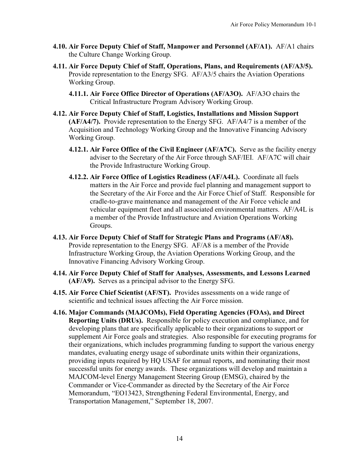- **4.10. Air Force Deputy Chief of Staff, Manpower and Personnel (AF/A1).** AF/A1 chairs the Culture Change Working Group.
- **4.11. Air Force Deputy Chief of Staff, Operations, Plans, and Requirements (AF/A3/5).**  Provide representation to the Energy SFG. AF/A3/5 chairs the Aviation Operations Working Group.
	- **4.11.1. Air Force Office Director of Operations (AF/A3O).** AF/A3O chairs the Critical Infrastructure Program Advisory Working Group.
- **4.12. Air Force Deputy Chief of Staff, Logistics, Installations and Mission Support (AF/A4/7).** Provide representation to the Energy SFG. AF/A4/7 is a member of the Acquisition and Technology Working Group and the Innovative Financing Advisory Working Group.
	- **4.12.1. Air Force Office of the Civil Engineer (AF/A7C).** Serve as the facility energy adviser to the Secretary of the Air Force through SAF/IEI. AF/A7C will chair the Provide Infrastructure Working Group.
	- **4.12.2. Air Force Office of Logistics Readiness (AF/A4L).** Coordinate all fuels matters in the Air Force and provide fuel planning and management support to the Secretary of the Air Force and the Air Force Chief of Staff. Responsible for cradle-to-grave maintenance and management of the Air Force vehicle and vehicular equipment fleet and all associated environmental matters. AF/A4L is a member of the Provide Infrastructure and Aviation Operations Working Groups.
- **4.13. Air Force Deputy Chief of Staff for Strategic Plans and Programs (AF/A8).** Provide representation to the Energy SFG. AF/A8 is a member of the Provide Infrastructure Working Group, the Aviation Operations Working Group, and the Innovative Financing Advisory Working Group.
- **4.14. Air Force Deputy Chief of Staff for Analyses, Assessments, and Lessons Learned (AF/A9).** Serves as a principal advisor to the Energy SFG.
- **4.15. Air Force Chief Scientist (AF/ST).** Provides assessments on a wide range of scientific and technical issues affecting the Air Force mission.
- **4.16. Major Commands (MAJCOMs), Field Operating Agencies (FOAs), and Direct Reporting Units (DRUs).** Responsible for policy execution and compliance, and for developing plans that are specifically applicable to their organizations to support or supplement Air Force goals and strategies. Also responsible for executing programs for their organizations, which includes programming funding to support the various energy mandates, evaluating energy usage of subordinate units within their organizations, providing inputs required by HQ USAF for annual reports, and nominating their most successful units for energy awards. These organizations will develop and maintain a MAJCOM-level Energy Management Steering Group (EMSG), chaired by the Commander or Vice-Commander as directed by the Secretary of the Air Force Memorandum, "EO13423, Strengthening Federal Environmental, Energy, and Transportation Management," September 18, 2007.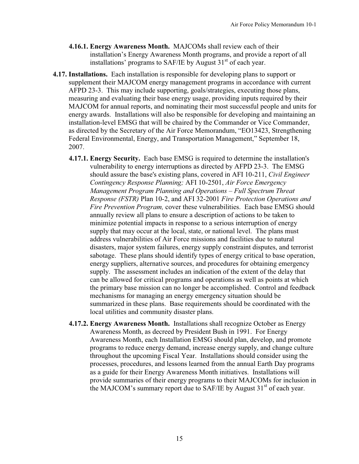- **4.16.1. Energy Awareness Month.** MAJCOMs shall review each of their installation's Energy Awareness Month programs, and provide a report of all installations' programs to SAF/IE by August  $31<sup>st</sup>$  of each year.
- **4.17. Installations.** Each installation is responsible for developing plans to support or supplement their MAJCOM energy management programs in accordance with current AFPD 23-3. This may include supporting, goals/strategies, executing those plans, measuring and evaluating their base energy usage, providing inputs required by their MAJCOM for annual reports, and nominating their most successful people and units for energy awards. Installations will also be responsible for developing and maintaining an installation-level EMSG that will be chaired by the Commander or Vice Commander, as directed by the Secretary of the Air Force Memorandum, "EO13423, Strengthening Federal Environmental, Energy, and Transportation Management," September 18, 2007.
	- **4.17.1. Energy Security.** Each base EMSG is required to determine the installation's vulnerability to energy interruptions as directed by AFPD 23-3. The EMSG should assure the base's existing plans, covered in AFI 10-211, *Civil Engineer Contingency Response Planning;* AFI 10-2501, *Air Force Emergency Management Program Planning and Operations ± Full Spectrum Threat Response (FSTR)* Plan 10-2, and AFI 32-2001 *Fire Protection Operations and Fire Prevention Program,* cover these vulnerabilities. Each base EMSG should annually review all plans to ensure a description of actions to be taken to minimize potential impacts in response to a serious interruption of energy supply that may occur at the local, state, or national level. The plans must address vulnerabilities of Air Force missions and facilities due to natural disasters, major system failures, energy supply constraint disputes, and terrorist sabotage. These plans should identify types of energy critical to base operation, energy suppliers, alternative sources, and procedures for obtaining emergency supply. The assessment includes an indication of the extent of the delay that can be allowed for critical programs and operations as well as points at which the primary base mission can no longer be accomplished. Control and feedback mechanisms for managing an energy emergency situation should be summarized in these plans. Base requirements should be coordinated with the local utilities and community disaster plans.
	- **4.17.2. Energy Awareness Month.** Installations shall recognize October as Energy Awareness Month, as decreed by President Bush in 1991. For Energy Awareness Month, each Installation EMSG should plan, develop, and promote programs to reduce energy demand, increase energy supply, and change culture throughout the upcoming Fiscal Year. Installations should consider using the processes, procedures, and lessons learned from the annual Earth Day programs as a guide for their Energy Awareness Month initiatives. Installations will provide summaries of their energy programs to their MAJCOMs for inclusion in the MAJCOM's summary report due to SAF/IE by August  $31<sup>st</sup>$  of each year.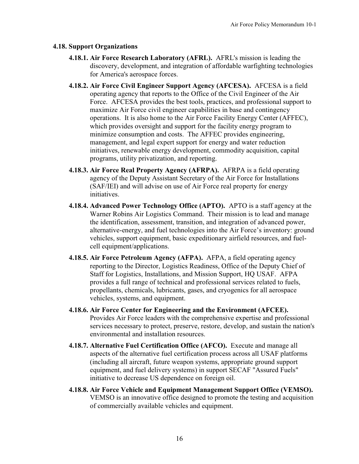#### **4.18. Support Organizations**

- **4.18.1. Air Force Research Laboratory (AFRL).** AFRL's mission is leading the discovery, development, and integration of affordable warfighting technologies for America's aerospace forces.
- **4.18.2. Air Force Civil Engineer Support Agency (AFCESA).** AFCESA is a field operating agency that reports to the Office of the Civil Engineer of the Air Force. AFCESA provides the best tools, practices, and professional support to maximize Air Force civil engineer capabilities in base and contingency operations. It is also home to the Air Force Facility Energy Center (AFFEC), which provides oversight and support for the facility energy program to minimize consumption and costs. The AFFEC provides engineering, management, and legal expert support for energy and water reduction initiatives, renewable energy development, commodity acquisition, capital programs, utility privatization, and reporting.
- **4.18.3. Air Force Real Property Agency (AFRPA).** AFRPA is a field operating agency of the Deputy Assistant Secretary of the Air Force for Installations (SAF/IEI) and will advise on use of Air Force real property for energy initiatives.
- **4.18.4. Advanced Power Technology Office (APTO).** APTO is a staff agency at the Warner Robins Air Logistics Command. Their mission is to lead and manage the identification, assessment, transition, and integration of advanced power, alternative-energy, and fuel technologies into the Air Force's inventory: ground vehicles, support equipment, basic expeditionary airfield resources, and fuelcell equipment/applications.
- **4.18.5. Air Force Petroleum Agency (AFPA).** AFPA, a field operating agency reporting to the Director, Logistics Readiness, Office of the Deputy Chief of Staff for Logistics, Installations, and Mission Support, HQ USAF. AFPA provides a full range of technical and professional services related to fuels, propellants, chemicals, lubricants, gases, and cryogenics for all aerospace vehicles, systems, and equipment.
- **4.18.6. Air Force Center for Engineering and the Environment (AFCEE).**  Provides Air Force leaders with the comprehensive expertise and professional services necessary to protect, preserve, restore, develop, and sustain the nation's environmental and installation resources.
- **4.18.7. Alternative Fuel Certification Office (AFCO).** Execute and manage all aspects of the alternative fuel certification process across all USAF platforms (including all aircraft, future weapon systems, appropriate ground support equipment, and fuel delivery systems) in support SECAF "Assured Fuels" initiative to decrease US dependence on foreign oil.
- **4.18.8. Air Force Vehicle and Equipment Management Support Office (VEMSO).** VEMSO is an innovative office designed to promote the testing and acquisition of commercially available vehicles and equipment.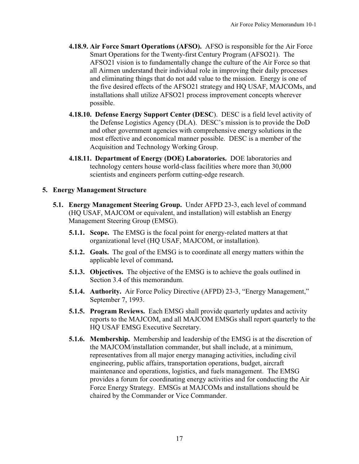- **4.18.9. Air Force Smart Operations (AFSO).** AFSO is responsible for the Air Force Smart Operations for the Twenty-first Century Program (AFSO21). The AFSO21 vision is to fundamentally change the culture of the Air Force so that all Airmen understand their individual role in improving their daily processes and eliminating things that do not add value to the mission. Energy is one of the five desired effects of the AFSO21 strategy and HQ USAF, MAJCOMs, and installations shall utilize AFSO21 process improvement concepts wherever possible.
- **4.18.10. Defense Energy Support Center (DESC**). DESC is a field level activity of the Defense Logistics Agency (DLA). DESC's mission is to provide the DoD and other government agencies with comprehensive energy solutions in the most effective and economical manner possible. DESC is a member of the Acquisition and Technology Working Group.
- **4.18.11. Department of Energy (DOE) Laboratories.** DOE laboratories and technology centers house world-class facilities where more than 30,000 scientists and engineers perform cutting-edge research.

#### **5. Energy Management Structure**

- **5.1. Energy Management Steering Group.** Under AFPD 23-3, each level of command (HQ USAF, MAJCOM or equivalent, and installation) will establish an Energy Management Steering Group (EMSG).
	- **5.1.1. Scope.** The EMSG is the focal point for energy-related matters at that organizational level (HQ USAF, MAJCOM, or installation).
	- **5.1.2. Goals.** The goal of the EMSG is to coordinate all energy matters within the applicable level of command**.**
	- **5.1.3. Objectives.** The objective of the EMSG is to achieve the goals outlined in Section 3.4 of this memorandum.
	- **5.1.4. Authority.** Air Force Policy Directive (AFPD) 23-3, "Energy Management," September 7, 1993.
	- **5.1.5. Program Reviews.** Each EMSG shall provide quarterly updates and activity reports to the MAJCOM, and all MAJCOM EMSGs shall report quarterly to the HQ USAF EMSG Executive Secretary.
	- **5.1.6. Membership.** Membership and leadership of the EMSG is at the discretion of the MAJCOM/installation commander, but shall include, at a minimum, representatives from all major energy managing activities, including civil engineering, public affairs, transportation operations, budget, aircraft maintenance and operations, logistics, and fuels management. The EMSG provides a forum for coordinating energy activities and for conducting the Air Force Energy Strategy. EMSGs at MAJCOMs and installations should be chaired by the Commander or Vice Commander.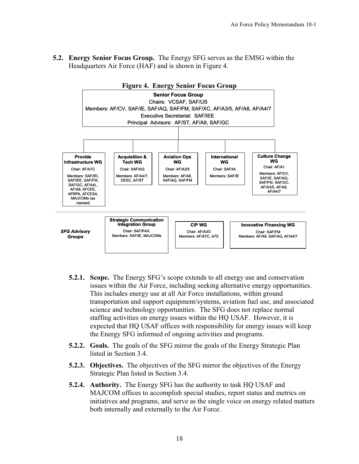**5.2. Energy Senior Focus Group.** The Energy SFG serves as the EMSG within the Headquarters Air Force (HAF) and is shown in Figure 4.



- **5.2.1. Scope.** The Energy SFG's scope extends to all energy use and conservation issues within the Air Force, including seeking alternative energy opportunities. This includes energy use at all Air Force installations, within ground transportation and support equipment/systems, aviation fuel use, and associated science and technology opportunities. The SFG does not replace normal staffing activities on energy issues within the HQ USAF. However, it is expected that HQ USAF offices with responsibility for energy issues will keep the Energy SFG informed of ongoing activities and programs.
- **5.2.2. Goals.** The goals of the SFG mirror the goals of the Energy Strategic Plan listed in Section 3.4.
- **5.2.3. Objectives.** The objectives of the SFG mirror the objectives of the Energy Strategic Plan listed in Section 3.4.
- **5.2.4. Authority.** The Energy SFG has the authority to task HO USAF and MAJCOM offices to accomplish special studies, report status and metrics on initiatives and programs, and serve as the single voice on energy related matters both internally and externally to the Air Force.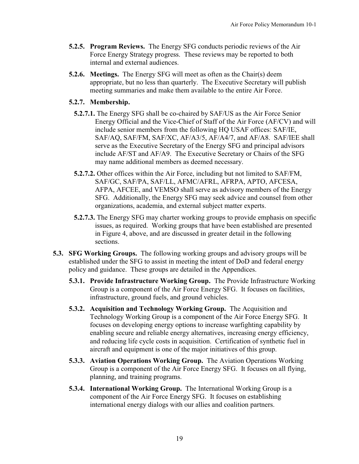- **5.2.5. Program Reviews.** The Energy SFG conducts periodic reviews of the Air Force Energy Strategy progress. These reviews may be reported to both internal and external audiences.
- **5.2.6. Meetings.** The Energy SFG will meet as often as the Chair(s) deem appropriate, but no less than quarterly. The Executive Secretary will publish meeting summaries and make them available to the entire Air Force.

#### **5.2.7. Membership.**

- **5.2.7.1.** The Energy SFG shall be co-chaired by SAF/US as the Air Force Senior Energy Official and the Vice-Chief of Staff of the Air Force (AF/CV) and will include senior members from the following HQ USAF offices: SAF/IE, SAF/AQ, SAF/FM, SAF/XC, AF/A3/5, AF/A4/7, and AF/A8. SAF/IEE shall serve as the Executive Secretary of the Energy SFG and principal advisors include AF/ST and AF/A9. The Executive Secretary or Chairs of the SFG may name additional members as deemed necessary.
- **5.2.7.2.** Other offices within the Air Force, including but not limited to SAF/FM, SAF/GC, SAF/PA, SAF/LL, AFMC/AFRL, AFRPA, APTO, AFCESA, AFPA, AFCEE, and VEMSO shall serve as advisory members of the Energy SFG. Additionally, the Energy SFG may seek advice and counsel from other organizations, academia, and external subject matter experts.
- **5.2.7.3.** The Energy SFG may charter working groups to provide emphasis on specific issues, as required. Working groups that have been established are presented in Figure 4, above, and are discussed in greater detail in the following sections.
- **5.3. SFG Working Groups.** The following working groups and advisory groups will be established under the SFG to assist in meeting the intent of DoD and federal energy policy and guidance. These groups are detailed in the Appendices.
	- **5.3.1. Provide Infrastructure Working Group.** The Provide Infrastructure Working Group is a component of the Air Force Energy SFG. It focuses on facilities, infrastructure, ground fuels, and ground vehicles.
	- **5.3.2. Acquisition and Technology Working Group.** The Acquisition and Technology Working Group is a component of the Air Force Energy SFG. It focuses on developing energy options to increase warfighting capability by enabling secure and reliable energy alternatives, increasing energy efficiency, and reducing life cycle costs in acquisition. Certification of synthetic fuel in aircraft and equipment is one of the major initiatives of this group.
	- **5.3.3. Aviation Operations Working Group.** The Aviation Operations Working Group is a component of the Air Force Energy SFG. It focuses on all flying, planning, and training programs.
	- **5.3.4. International Working Group.** The International Working Group is a component of the Air Force Energy SFG. It focuses on establishing international energy dialogs with our allies and coalition partners.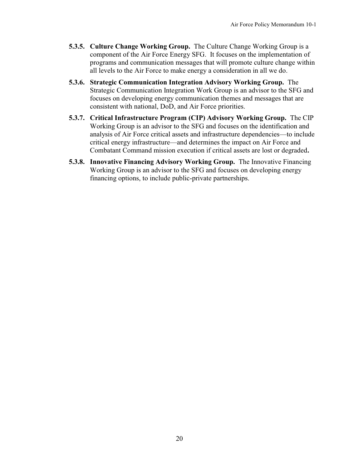- **5.3.5. Culture Change Working Group.** The Culture Change Working Group is a component of the Air Force Energy SFG. It focuses on the implementation of programs and communication messages that will promote culture change within all levels to the Air Force to make energy a consideration in all we do.
- **5.3.6. Strategic Communication Integration Advisory Working Group.** The Strategic Communication Integration Work Group is an advisor to the SFG and focuses on developing energy communication themes and messages that are consistent with national, DoD, and Air Force priorities.
- **5.3.7. Critical Infrastructure Program (CIP) Advisory Working Group.** The CIP Working Group is an advisor to the SFG and focuses on the identification and analysis of Air Force critical assets and infrastructure dependencies—to include critical energy infrastructure—and determines the impact on Air Force and Combatant Command mission execution if critical assets are lost or degraded**.**
- **5.3.8. Innovative Financing Advisory Working Group.** The Innovative Financing Working Group is an advisor to the SFG and focuses on developing energy financing options, to include public-private partnerships.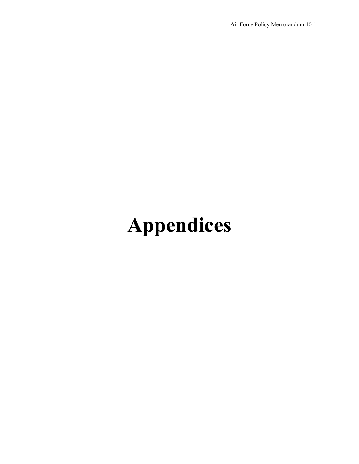# **Appendices**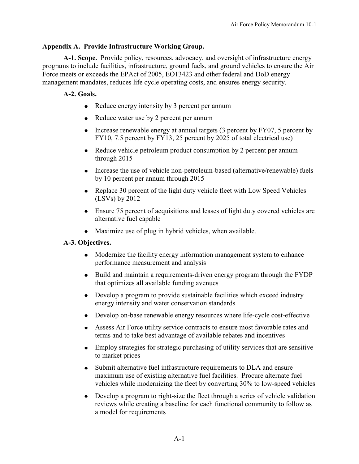# **Appendix A. Provide Infrastructure Working Group.**

 **A-1. Scope.** Provide policy, resources, advocacy, and oversight of infrastructure energy programs to include facilities, infrastructure, ground fuels, and ground vehicles to ensure the Air Force meets or exceeds the EPAct of 2005, EO13423 and other federal and DoD energy management mandates, reduces life cycle operating costs, and ensures energy security.

#### **A-2. Goals.**

- Reduce energy intensity by 3 percent per annum
- Reduce water use by 2 percent per annum
- Increase renewable energy at annual targets (3 percent by FY07, 5 percent by FY10, 7.5 percent by FY13, 25 percent by 2025 of total electrical use)
- Reduce vehicle petroleum product consumption by 2 percent per annum through 2015
- Increase the use of vehicle non-petroleum-based (alternative/renewable) fuels by 10 percent per annum through 2015
- Replace 30 percent of the light duty vehicle fleet with Low Speed Vehicles (LSVs) by 2012
- Ensure 75 percent of acquisitions and leases of light duty covered vehicles are alternative fuel capable
- Maximize use of plug in hybrid vehicles, when available.

# **A-3. Objectives.**

- Modernize the facility energy information management system to enhance performance measurement and analysis
- Build and maintain a requirements-driven energy program through the FYDP that optimizes all available funding avenues
- Develop a program to provide sustainable facilities which exceed industry energy intensity and water conservation standards
- Develop on-base renewable energy resources where life-cycle cost-effective
- Assess Air Force utility service contracts to ensure most favorable rates and terms and to take best advantage of available rebates and incentives
- Employ strategies for strategic purchasing of utility services that are sensitive to market prices
- Submit alternative fuel infrastructure requirements to DLA and ensure  $\bullet$ maximum use of existing alternative fuel facilities. Procure alternate fuel vehicles while modernizing the fleet by converting 30% to low-speed vehicles
- Develop a program to right-size the fleet through a series of vehicle validation reviews while creating a baseline for each functional community to follow as a model for requirements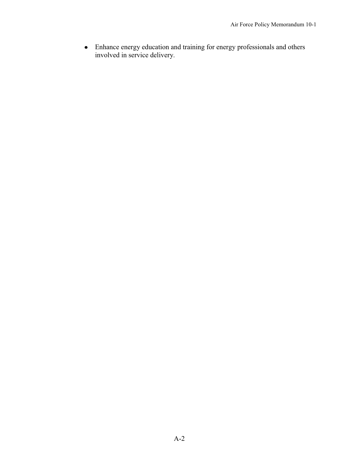Enhance energy education and training for energy professionals and others involved in service delivery.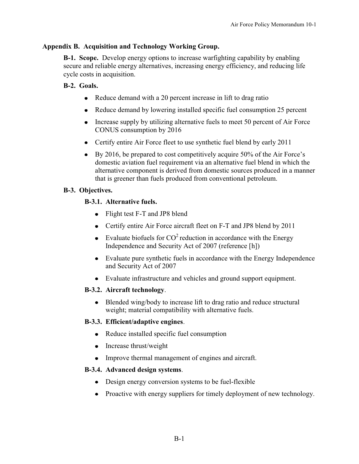#### **Appendix B. Acquisition and Technology Working Group.**

 **B-1. Scope.** Develop energy options to increase warfighting capability by enabling secure and reliable energy alternatives, increasing energy efficiency, and reducing life cycle costs in acquisition.

# **B-2. Goals.**

- Reduce demand with a 20 percent increase in lift to drag ratio
- Reduce demand by lowering installed specific fuel consumption 25 percent
- Increase supply by utilizing alternative fuels to meet 50 percent of Air Force CONUS consumption by 2016
- Certify entire Air Force fleet to use synthetic fuel blend by early 2011
- $\bullet$  By 2016, be prepared to cost competitively acquire 50% of the Air Force's domestic aviation fuel requirement via an alternative fuel blend in which the alternative component is derived from domestic sources produced in a manner that is greener than fuels produced from conventional petroleum.

# **B-3. Objectives.**

# **B-3.1. Alternative fuels.**

- Flight test F-T and JP8 blend
- Certify entire Air Force aircraft fleet on F-T and JP8 blend by 2011
- Evaluate biofuels for  $CO^2$  reduction in accordance with the Energy Independence and Security Act of 2007 (reference [h])
- Evaluate pure synthetic fuels in accordance with the Energy Independence and Security Act of 2007
- Evaluate infrastructure and vehicles and ground support equipment.

#### **B-3.2. Aircraft technology**.

• Blended wing/body to increase lift to drag ratio and reduce structural weight; material compatibility with alternative fuels.

#### **B-3.3. Efficient/adaptive engines**.

- Reduce installed specific fuel consumption
- Increase thrust/weight
- Improve thermal management of engines and aircraft.

#### **B-3.4. Advanced design systems**.

- Design energy conversion systems to be fuel-flexible
- Proactive with energy suppliers for timely deployment of new technology.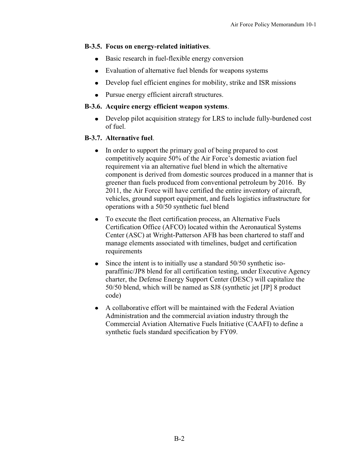#### **B-3.5. Focus on energy-related initiatives**.

- Basic research in fuel-flexible energy conversion
- Evaluation of alternative fuel blends for weapons systems
- Develop fuel efficient engines for mobility, strike and ISR missions
- Pursue energy efficient aircraft structures.

#### **B-3.6. Acquire energy efficient weapon systems**.

Develop pilot acquisition strategy for LRS to include fully-burdened cost of fuel.

# **B-3.7. Alternative fuel**.

- In order to support the primary goal of being prepared to cost competitively acquire 50% of the Air Force's domestic aviation fuel requirement via an alternative fuel blend in which the alternative component is derived from domestic sources produced in a manner that is greener than fuels produced from conventional petroleum by 2016. By 2011, the Air Force will have certified the entire inventory of aircraft, vehicles, ground support equipment, and fuels logistics infrastructure for operations with a 50/50 synthetic fuel blend
- To execute the fleet certification process, an Alternative Fuels Certification Office (AFCO) located within the Aeronautical Systems Center (ASC) at Wright-Patterson AFB has been chartered to staff and manage elements associated with timelines, budget and certification requirements
- Since the intent is to initially use a standard 50/50 synthetic iso- $\bullet$ paraffinic/JP8 blend for all certification testing, under Executive Agency charter, the Defense Energy Support Center (DESC) will capitalize the 50/50 blend, which will be named as SJ8 (synthetic jet [JP] 8 product code)
- A collaborative effort will be maintained with the Federal Aviation Administration and the commercial aviation industry through the Commercial Aviation Alternative Fuels Initiative (CAAFI) to define a synthetic fuels standard specification by FY09.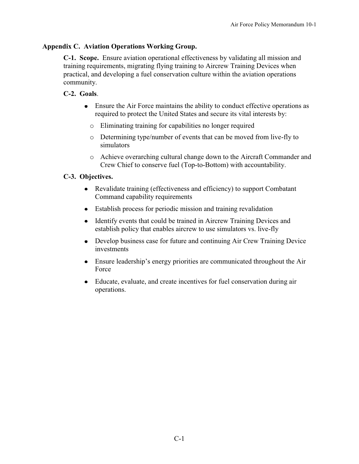#### **Appendix C. Aviation Operations Working Group.**

 **C-1. Scope.** Ensure aviation operational effectiveness by validating all mission and training requirements, migrating flying training to Aircrew Training Devices when practical, and developing a fuel conservation culture within the aviation operations community.

# **C-2. Goals**.

- Ensure the Air Force maintains the ability to conduct effective operations as required to protect the United States and secure its vital interests by:
	- o Eliminating training for capabilities no longer required
	- o Determining type/number of events that can be moved from live-fly to simulators
	- o Achieve overarching cultural change down to the Aircraft Commander and Crew Chief to conserve fuel (Top-to-Bottom) with accountability.

# **C-3. Objectives.**

- Revalidate training (effectiveness and efficiency) to support Combatant Command capability requirements
- Establish process for periodic mission and training revalidation
- Identify events that could be trained in Aircrew Training Devices and  $\bullet$ establish policy that enables aircrew to use simulators vs. live-fly
- Develop business case for future and continuing Air Crew Training Device investments
- $\bullet$  Ensure leadership's energy priorities are communicated throughout the Air Force
- Educate, evaluate, and create incentives for fuel conservation during air operations.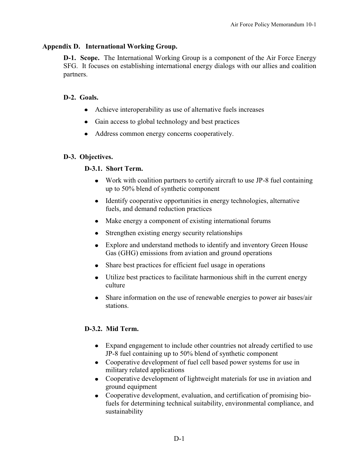#### **Appendix D. International Working Group.**

**D-1. Scope.** The International Working Group is a component of the Air Force Energy SFG. It focuses on establishing international energy dialogs with our allies and coalition partners.

#### **D-2. Goals.**

- Achieve interoperability as use of alternative fuels increases
- Gain access to global technology and best practices
- Address common energy concerns cooperatively.

#### **D-3. Objectives.**

#### **D-3.1. Short Term.**

- Work with coalition partners to certify aircraft to use JP-8 fuel containing up to 50% blend of synthetic component
- Identify cooperative opportunities in energy technologies, alternative fuels, and demand reduction practices
- Make energy a component of existing international forums
- Strengthen existing energy security relationships  $\bullet$
- Explore and understand methods to identify and inventory Green House Gas (GHG) emissions from aviation and ground operations
- Share best practices for efficient fuel usage in operations
- Utilize best practices to facilitate harmonious shift in the current energy culture
- Share information on the use of renewable energies to power air bases/air stations.

#### **D-3.2. Mid Term.**

- Expand engagement to include other countries not already certified to use JP-8 fuel containing up to 50% blend of synthetic component
- Cooperative development of fuel cell based power systems for use in military related applications
- Cooperative development of lightweight materials for use in aviation and ground equipment
- Cooperative development, evaluation, and certification of promising biofuels for determining technical suitability, environmental compliance, and sustainability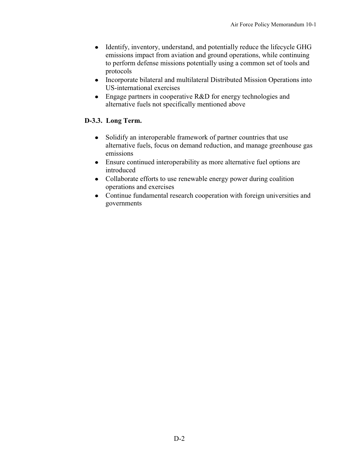- Identify, inventory, understand, and potentially reduce the lifecycle GHG emissions impact from aviation and ground operations, while continuing to perform defense missions potentially using a common set of tools and protocols
- Incorporate bilateral and multilateral Distributed Mission Operations into US-international exercises
- Engage partners in cooperative R&D for energy technologies and alternative fuels not specifically mentioned above

# **D-3.3. Long Term.**

- Solidify an interoperable framework of partner countries that use alternative fuels, focus on demand reduction, and manage greenhouse gas emissions
- Ensure continued interoperability as more alternative fuel options are introduced
- Collaborate efforts to use renewable energy power during coalition operations and exercises
- Continue fundamental research cooperation with foreign universities and governments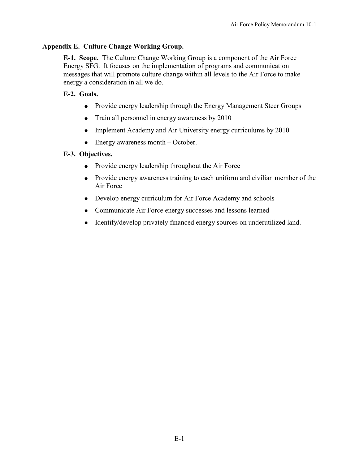# **Appendix E. Culture Change Working Group.**

 **E-1. Scope.** The Culture Change Working Group is a component of the Air Force Energy SFG. It focuses on the implementation of programs and communication messages that will promote culture change within all levels to the Air Force to make energy a consideration in all we do.

#### **E-2. Goals.**

- Provide energy leadership through the Energy Management Steer Groups
- Train all personnel in energy awareness by 2010
- Implement Academy and Air University energy curriculums by 2010
- $\bullet$  Energy awareness month  $-\text{October.}$

# **E-3. Objectives.**

- Provide energy leadership throughout the Air Force
- Provide energy awareness training to each uniform and civilian member of the Air Force
- Develop energy curriculum for Air Force Academy and schools
- Communicate Air Force energy successes and lessons learned
- Identify/develop privately financed energy sources on underutilized land.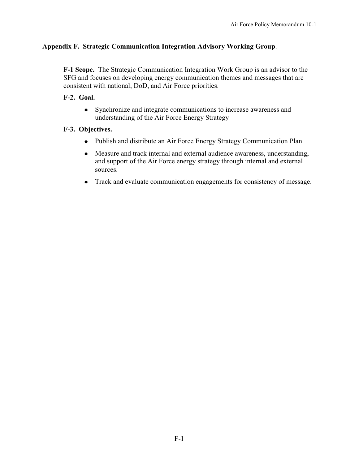#### **Appendix F. Strategic Communication Integration Advisory Working Group**.

**F-1 Scope.** The Strategic Communication Integration Work Group is an advisor to the SFG and focuses on developing energy communication themes and messages that are consistent with national, DoD, and Air Force priorities.

#### **F-2. Goal.**

Synchronize and integrate communications to increase awareness and understanding of the Air Force Energy Strategy

#### **F-3. Objectives.**

- Publish and distribute an Air Force Energy Strategy Communication Plan
- $\bullet$ Measure and track internal and external audience awareness, understanding, and support of the Air Force energy strategy through internal and external sources.
- Track and evaluate communication engagements for consistency of message.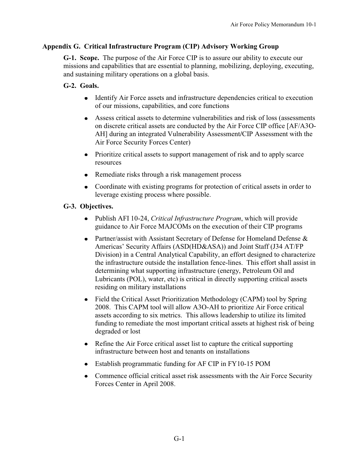#### **Appendix G. Critical Infrastructure Program (CIP) Advisory Working Group**

 **G-1. Scope.** The purpose of the Air Force CIP is to assure our ability to execute our missions and capabilities that are essential to planning, mobilizing, deploying, executing, and sustaining military operations on a global basis.

#### **G-2. Goals.**

- Identify Air Force assets and infrastructure dependencies critical to execution of our missions, capabilities, and core functions
- Assess critical assets to determine vulnerabilities and risk of loss (assessments on discrete critical assets are conducted by the Air Force CIP office [AF/A3O-AH] during an integrated Vulnerability Assessment**/**CIP Assessment with the Air Force Security Forces Center)
- Prioritize critical assets to support management of risk and to apply scarce resources
- Remediate risks through a risk management process
- Coordinate with existing programs for protection of critical assets in order to leverage existing process where possible.

#### **G-3. Objectives.**

- Publish AFI 10-24, *Critical Infrastructure Program*, which will provide guidance to Air Force MAJCOMs on the execution of their CIP programs
- Partner/assist with Assistant Secretary of Defense for Homeland Defense & Americas' Security Affairs (ASD(HD&ASA)) and Joint Staff (J34 AT/FP Division) in a Central Analytical Capability, an effort designed to characterize the infrastructure outside the installation fence-lines. This effort shall assist in determining what supporting infrastructure (energy, Petroleum Oil and Lubricants (POL), water, etc) is critical in directly supporting critical assets residing on military installations
- Field the Critical Asset Prioritization Methodology (CAPM) tool by Spring 2008. This CAPM tool will allow A3O-AH to prioritize Air Force critical assets according to six metrics. This allows leadership to utilize its limited funding to remediate the most important critical assets at highest risk of being degraded or lost
- Refine the Air Force critical asset list to capture the critical supporting infrastructure between host and tenants on installations
- Establish programmatic funding for AF CIP in FY10-15 POM  $\bullet$
- $\bullet$ Commence official critical asset risk assessments with the Air Force Security Forces Center in April 2008.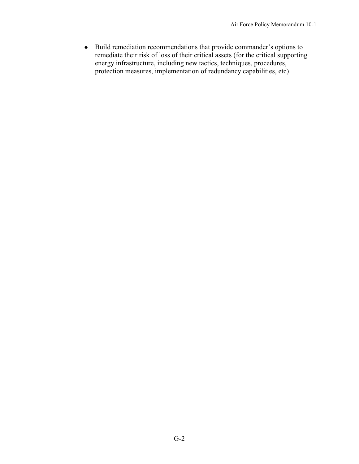• Build remediation recommendations that provide commander's options to remediate their risk of loss of their critical assets (for the critical supporting energy infrastructure, including new tactics, techniques, procedures, protection measures, implementation of redundancy capabilities, etc).